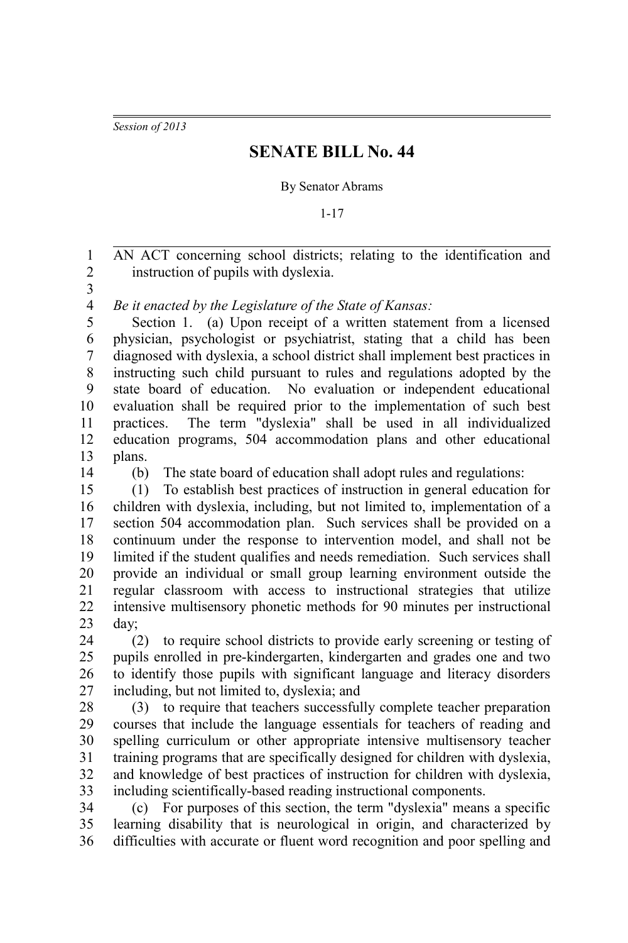*Session of 2013*

## **SENATE BILL No. 44**

## By Senator Abrams

1-17

AN ACT concerning school districts; relating to the identification and instruction of pupils with dyslexia. 1 2

3

*Be it enacted by the Legislature of the State of Kansas:* 4

Section 1. (a) Upon receipt of a written statement from a licensed physician, psychologist or psychiatrist, stating that a child has been diagnosed with dyslexia, a school district shall implement best practices in instructing such child pursuant to rules and regulations adopted by the state board of education. No evaluation or independent educational evaluation shall be required prior to the implementation of such best practices. The term "dyslexia" shall be used in all individualized education programs, 504 accommodation plans and other educational plans. 5 6 7 8 9 10 11 12 13

14

(b) The state board of education shall adopt rules and regulations:

(1) To establish best practices of instruction in general education for children with dyslexia, including, but not limited to, implementation of a section 504 accommodation plan. Such services shall be provided on a continuum under the response to intervention model, and shall not be limited if the student qualifies and needs remediation. Such services shall provide an individual or small group learning environment outside the regular classroom with access to instructional strategies that utilize intensive multisensory phonetic methods for 90 minutes per instructional day; 15 16 17 18 19 20 21 22 23

(2) to require school districts to provide early screening or testing of pupils enrolled in pre-kindergarten, kindergarten and grades one and two to identify those pupils with significant language and literacy disorders including, but not limited to, dyslexia; and 24 25 26 27

(3) to require that teachers successfully complete teacher preparation courses that include the language essentials for teachers of reading and spelling curriculum or other appropriate intensive multisensory teacher training programs that are specifically designed for children with dyslexia, and knowledge of best practices of instruction for children with dyslexia, including scientifically-based reading instructional components. 28 29 30 31 32 33

(c) For purposes of this section, the term "dyslexia" means a specific learning disability that is neurological in origin, and characterized by difficulties with accurate or fluent word recognition and poor spelling and 34 35 36